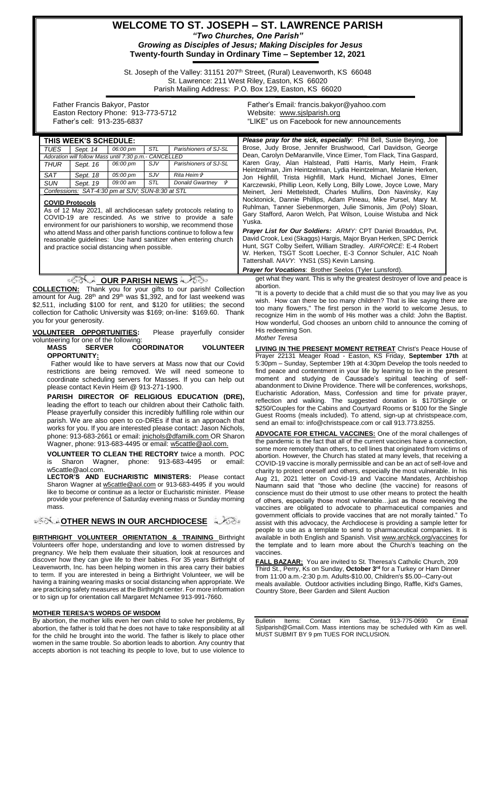# **WELCOME TO ST. JOSEPH – ST. LAWRENCE PARISH** *"Two Churches, One Parish" Growing as Disciples of Jesus; Making Disciples for Jesus* **Twenty-fourth Sunday in Ordinary Time – September 12, 2021**

St. Joseph of the Valley: 31151 207<sup>th</sup> Street, (Rural) Leavenworth, KS 66048 St. Lawrence: 211 West Riley, Easton, KS 66020 Parish Mailing Address: P.O. Box 129, Easton, KS 66020

 Father Francis Bakyor, Pastor Easton Rectory Phone: 913-773-5712 Father's cell: 913-235-6837

Father's Email*:* francis.bakyor@yahoo.com Website: [www.sjslparish.org](http://www.sjslparish.org/) "LIKE" us on Facebook for new announcements

|                                                                                                                           | THIS WEEK'S SCHEDULE:                                                                                                                                                                                                                                                                                                                                                                                                                                                                                                                                                                                                                                                                                                                      |                                                                         |          |     |                                                                                                                                                                                                                                                                                                                                        | Please pray for the sick, especially: Phil Bell, Susie Beying, Joe                                                                                                                                                                                                                                                                                                                                                                                                                                                                           |  |  |
|---------------------------------------------------------------------------------------------------------------------------|--------------------------------------------------------------------------------------------------------------------------------------------------------------------------------------------------------------------------------------------------------------------------------------------------------------------------------------------------------------------------------------------------------------------------------------------------------------------------------------------------------------------------------------------------------------------------------------------------------------------------------------------------------------------------------------------------------------------------------------------|-------------------------------------------------------------------------|----------|-----|----------------------------------------------------------------------------------------------------------------------------------------------------------------------------------------------------------------------------------------------------------------------------------------------------------------------------------------|----------------------------------------------------------------------------------------------------------------------------------------------------------------------------------------------------------------------------------------------------------------------------------------------------------------------------------------------------------------------------------------------------------------------------------------------------------------------------------------------------------------------------------------------|--|--|
|                                                                                                                           | <b>TUES</b>                                                                                                                                                                                                                                                                                                                                                                                                                                                                                                                                                                                                                                                                                                                                | Sept. 14                                                                | 06:00 pm | STL | Parishioners of SJ-SL                                                                                                                                                                                                                                                                                                                  | Brose, Judy Brose, Jennifer Brushwood, Carl Davidson, George                                                                                                                                                                                                                                                                                                                                                                                                                                                                                 |  |  |
|                                                                                                                           | Adoration will follow Mass until 7:30 p.m.- CANCELLED                                                                                                                                                                                                                                                                                                                                                                                                                                                                                                                                                                                                                                                                                      |                                                                         |          |     |                                                                                                                                                                                                                                                                                                                                        | Dean, Carolyn DeMaranville, Vince Eimer, Tom Flack, Tina Gaspard,                                                                                                                                                                                                                                                                                                                                                                                                                                                                            |  |  |
|                                                                                                                           | <b>THUR</b>                                                                                                                                                                                                                                                                                                                                                                                                                                                                                                                                                                                                                                                                                                                                | Sept. 16                                                                | 06:00 pm | SJV | Parishioners of SJ-SL                                                                                                                                                                                                                                                                                                                  | Karen Gray, Alan Halstead, Patti Harris, Marly Heim, Frank<br>Heintzelman, Jim Heintzelman, Lydia Heintzelman, Melanie Herken,                                                                                                                                                                                                                                                                                                                                                                                                               |  |  |
|                                                                                                                           | <b>SAT</b>                                                                                                                                                                                                                                                                                                                                                                                                                                                                                                                                                                                                                                                                                                                                 | Sept. 18                                                                | 05:00 pm | SJV | <i>Rita Heim</i> t <sup>3</sup>                                                                                                                                                                                                                                                                                                        | Jon Highfill, Trista Highfill, Mark Hund, Michael Jones, Elmer                                                                                                                                                                                                                                                                                                                                                                                                                                                                               |  |  |
|                                                                                                                           | <b>SUN</b>                                                                                                                                                                                                                                                                                                                                                                                                                                                                                                                                                                                                                                                                                                                                 | Sept. 19                                                                | 09:00 am | STL | Donald Gwartney <i><sup>\$</sup></i>                                                                                                                                                                                                                                                                                                   | Karczewski, Phillip Leon, Kelly Long, Billy Lowe, Joyce Lowe, Mary                                                                                                                                                                                                                                                                                                                                                                                                                                                                           |  |  |
|                                                                                                                           | Confessions: SAT-4:30 pm at SJV; SUN-8:30 at STL                                                                                                                                                                                                                                                                                                                                                                                                                                                                                                                                                                                                                                                                                           |                                                                         |          |     |                                                                                                                                                                                                                                                                                                                                        | Meinert, Jeni Mettelstedt, Charles Mullins, Don Navinsky, Kay                                                                                                                                                                                                                                                                                                                                                                                                                                                                                |  |  |
|                                                                                                                           |                                                                                                                                                                                                                                                                                                                                                                                                                                                                                                                                                                                                                                                                                                                                            | <b>COVID Protocols</b><br>and practice social distancing when possible. |          |     | As of 12 May 2021, all archdiocesan safety protocols relating to<br>COVID-19 are rescinded. As we strive to provide a safe<br>environment for our parishioners to worship, we recommend those<br>who attend Mass and other parish functions continue to follow a few<br>reasonable quidelines: Use hand sanitizer when entering church | Nocktonick, Dannie Phillips, Adam Pineau, Mike Pursel, Mary M.<br>Ruhlman, Tanner Siebenmorgen, Julie Simonis, Jim (Poly) Sloan,<br>Gary Stafford, Aaron Welch, Pat Wilson, Louise Wistuba and Nick<br>Yuska.<br><b>Prayer List for Our Soldiers: ARMY: CPT Daniel Broaddus, Pvt.</b><br>David Crook, Lexi (Skaggs) Hargis, Major Bryan Herken, SPC Derrick<br>Hunt, SGT Colby Seifert, William Stradley. AIRFORCE: E-4 Robert<br>W. Herken, TSGT Scott Loecher, E-3 Connor Schuler, A1C Noah<br>Tattershall. NAVY: YNS1 (SS) Kevin Lansing. |  |  |
|                                                                                                                           |                                                                                                                                                                                                                                                                                                                                                                                                                                                                                                                                                                                                                                                                                                                                            |                                                                         |          |     |                                                                                                                                                                                                                                                                                                                                        | <b>Prayer for Vocations: Brother Seelos (Tyler Lunsford).</b>                                                                                                                                                                                                                                                                                                                                                                                                                                                                                |  |  |
| get what they want. This is why the greatest destroyer of love and peace is<br>≪ੋ <b>√∞ੇ OUR PARISH NEWS</b><br>abortion. |                                                                                                                                                                                                                                                                                                                                                                                                                                                                                                                                                                                                                                                                                                                                            |                                                                         |          |     |                                                                                                                                                                                                                                                                                                                                        |                                                                                                                                                                                                                                                                                                                                                                                                                                                                                                                                              |  |  |
|                                                                                                                           | <b>COLLECTION:</b> Thank you for your gifts to our parish! Collection<br>"It is a poverty to decide that a child must die so that you may live as you<br>amount for Aug. 28 <sup>th</sup> and 29 <sup>th</sup> was \$1,392, and for last weekend was<br>wish. How can there be too many children? That is like saying there are<br>\$2,511, including \$100 for rent, and \$120 for utilities; the second<br>too many flowers," The first person in the world to welcome Jesus, to<br>collection for Catholic University was \$169; on-line: \$169.60. Thank<br>recognize Him in the womb of His mother was a child: John the Baptist.<br>you for your generosity.<br>How wonderful, God chooses an unborn child to announce the coming of |                                                                         |          |     |                                                                                                                                                                                                                                                                                                                                        |                                                                                                                                                                                                                                                                                                                                                                                                                                                                                                                                              |  |  |

**VOLUNTEER OPPORTUNITIES:** Please prayerfully consider volunteering for one of the following:

**MASS SERVER COORDINATOR VOLUNTEER OPPORTUNITY:**

 Father would like to have servers at Mass now that our Covid restrictions are being removed. We will need someone to coordinate scheduling servers for Masses. If you can help out please contact Kevin Heim @ 913-271-1900.

**PARISH DIRECTOR OF RELIGIOUS EDUCATION (DRE),** leading the effort to teach our children about their Catholic faith. Please prayerfully consider this incredibly fulfilling role within our parish. We are also open to co-DREs if that is an approach that works for you. If you are interested please contact: Jason Nichols, phone: 913-683-2661 or email[: jnichols@dfamilk.com](mailto:jnichols@dfamilk.com) OR Sharon Wagner, phone: 913-683-4495 or email[: w5cattle@aol.com.](mailto:w5cattle@aol.com)

**VOLUNTEER TO CLEAN THE RECTORY** twice a month. POC Sharon Wagner, phone: 913-683-4495 or email: [w5cattle@aol.com.](mailto:w5cattle@aol.com)

**LECTOR'S AND EUCHARISTIC MINISTERS:** Please contact Sharon Wagner at [w5cattle@aol.com](mailto:w5cattle@aol.com) or 913-683-4495 if you would like to become or continue as a lector or Eucharistic minister. Please provide your preference of Saturday evening mass or Sunday morning mass.

**[O](http://www.google.com/url?sa=i&rct=j&q=&esrc=s&source=images&cd=&cad=rja&uact=8&ved=0CAcQjRxqFQoTCL3M6dfYlskCFQfIYwodK-sMqA&url=http://www.clipartpanda.com/categories/corner-scroll-design&psig=AFQjCNEcNGu-GRs-N_tcfj31hDOCKS7EqQ&ust=1447823402338642)THER NEWS IN OUR ARCHDIOCESE** 

**BIRTHRIGHT VOLUNTEER ORIENTATION & TRAINING Birthright** Volunteers offer hope, understanding and love to women distressed by pregnancy. We help them evaluate their situation, look at resources and discover how they can give life to their babies. For 35 years Birthright of Leavenworth, Inc. has been helping women in this area carry their babies to term. If you are interested in being a Birthright Volunteer, we will be having a training wearing masks or social distancing when appropriate. We are practicing safety measures at the Birthright center. For more information or to sign up for orientation call Margaret McNamee 913-991-7660.

#### **MOTHER TERESA'S WORDS OF WISDOM**

By abortion, the mother kills even her own child to solve her problems, By abortion, the father is told that he does not have to take responsibility at all for the child he brought into the world. The father is likely to place other women in the same trouble. So abortion leads to abortion. Any country that accepts abortion is not teaching its people to love, but to use violence to His redeeming Son. *Mother Teresa* **LIVING IN THE PRESENT MOMENT RETREAT** Christ's Peace House of Prayer 22131 Meager Road - Easton, KS Friday, **September 17th** at 5:30pm – Sunday, September 19th at 4:30pm Develop the tools needed to find peace and contentment in your life by learning to live in the present moment and studying de Caussade's spiritual teaching of selfabandonment to Divine Providence. There will be conferences, workshops, Eucharistic Adoration, Mass, Confession and time for private prayer, reflection and walking. The suggested donation is \$170/Single or \$250/Couples for the Cabins and Courtyard Rooms or \$100 for the Single Guest Rooms (meals included). To attend, sign-up at christspeace.com,

send an email to: info@christspeace.com or call 913.773.8255.

**ADVOCATE FOR ETHICAL VACCINES:** One of the moral challenges of the pandemic is the fact that all of the current vaccines have a connection, some more remotely than others, to cell lines that originated from victims of abortion. However, the Church has stated at many levels, that receiving a COVID-19 vaccine is morally permissible and can be an act of self-love and charity to protect oneself and others, especially the most vulnerable. In his Aug 21, 2021 letter on Covid-19 and Vaccine Mandates, Archbishop Naumann said that "those who decline (the vaccine) for reasons of conscience must do their utmost to use other means to protect the health of others, especially those most vulnerable…just as those receiving the vaccines are obligated to advocate to pharmaceutical companies and government officials to provide vaccines that are not morally tainted." To assist with this advocacy, the Archdiocese is providing a sample letter for people to use as a template to send to pharmaceutical companies. It is available in both English and Spanish. Visit www.archkck.org/vaccines for the template and to learn more about the Church's teaching on the vaccines.

**FALL BAZAAR:** You are invited to St. Theresa's Catholic Church, 209 Third St., Perry, Ks on Sunday, **October 3rd** for a Turkey or Ham Dinner from 11:00 a.m.-2:30 p.m. Adults-\$10.00, Children's \$5.00--Carry-out meals available. Outdoor activities including Bingo, Raffle, Kid's Games, Country Store, Beer Garden and Silent Auction

Bulletin Items: Contact Kim Sachse, 913-775-0690 Or Email Sjslparish@Gmail.Com. Mass intentions may be scheduled with Kim as well. MUST SUBMIT BY 9 pm TUES FOR INCLUSION.